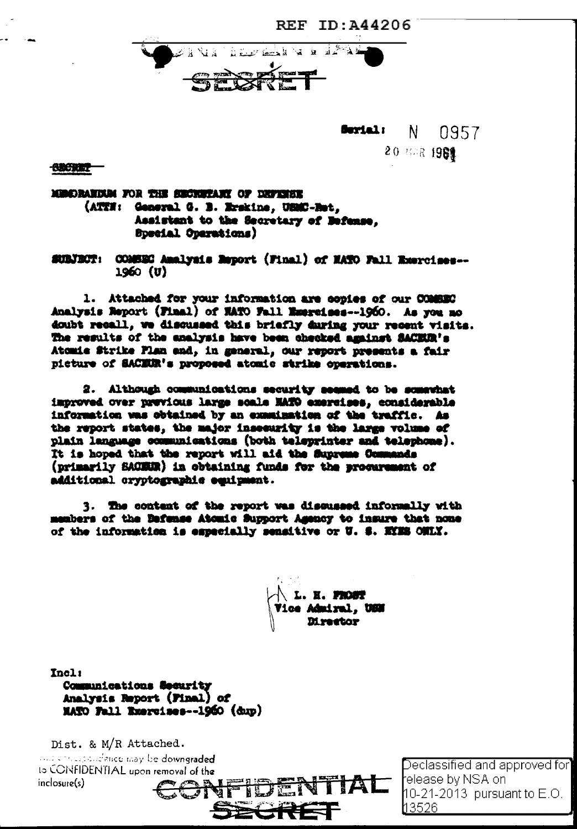

**Serial:**  $\mathbb{N}$ 0957 20 福永 1981

**SBCRET-**

MINDRANDAM FOR THE SECRETARY OF DEFINISE (ATTH: General G. B. Erskine, USMC-Ret. Assistant to the Secretary of Befanse. **Bpecial Oparations)** 

COMSEC Analysis Report (Final) of NATO Fall Exercises --SUBJECT:  $1960$  (U)

1. Attached for your information are copies of our COMEEC Analysis Report (Final) of EATO Fall Emercises--1960. As you mo doubt recall, we discussed this briefly during your recent visits. The results of the analysis have been checked against SACEUR's Atomie Strike Flan and, in general, our report presents a fair picture of SACERR's proposed atomic strike operations.

2. Although communications security seemed to be somewhat improved over previous large scale MATO exercises, considerable information was obtained by an examination of the traffle. As the report states, the major insecurity is the large volume of plain language communications (both teleprinter and telephone). It is hoped that the report will aid the Supreme Commands (primarily SACEER) in obtaining funds for the procurement of additional cryptographic equipment.

3. The content of the report was discussed informally with members of the Bafense Atomic Support Agency to insure that none of the information is especially sensitive or U. S. MYMS ONLY.

L. H. FROUT ice Admiral, USM

Tnel: Communications Security Analysis Report (Final) of MATO Fall Exercises--1960 (dup)

Dist. & M/R Attached. and conceptively may be downgraded to CONFIDENTIAL upon removal of the inclosure(s)

Declassified and approved for release by NSA on l  $10-21-2013$  pursuant to E.O. l13526